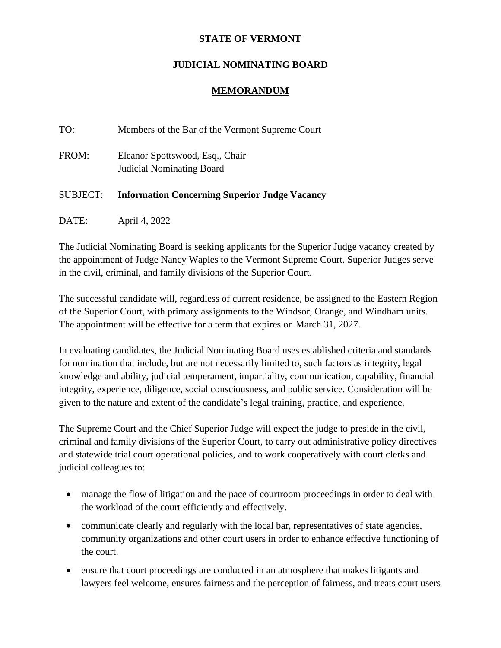## **STATE OF VERMONT**

## **JUDICIAL NOMINATING BOARD**

## **MEMORANDUM**

| TO:             | Members of the Bar of the Vermont Supreme Court                     |
|-----------------|---------------------------------------------------------------------|
| FROM:           | Eleanor Spottswood, Esq., Chair<br><b>Judicial Nominating Board</b> |
| <b>SUBJECT:</b> | <b>Information Concerning Superior Judge Vacancy</b>                |
| DATE:           | April 4, 2022                                                       |

The Judicial Nominating Board is seeking applicants for the Superior Judge vacancy created by the appointment of Judge Nancy Waples to the Vermont Supreme Court. Superior Judges serve in the civil, criminal, and family divisions of the Superior Court.

The successful candidate will, regardless of current residence, be assigned to the Eastern Region of the Superior Court, with primary assignments to the Windsor, Orange, and Windham units. The appointment will be effective for a term that expires on March 31, 2027.

In evaluating candidates, the Judicial Nominating Board uses established criteria and standards for nomination that include, but are not necessarily limited to, such factors as integrity, legal knowledge and ability, judicial temperament, impartiality, communication, capability, financial integrity, experience, diligence, social consciousness, and public service. Consideration will be given to the nature and extent of the candidate's legal training, practice, and experience.

The Supreme Court and the Chief Superior Judge will expect the judge to preside in the civil, criminal and family divisions of the Superior Court, to carry out administrative policy directives and statewide trial court operational policies, and to work cooperatively with court clerks and judicial colleagues to:

- manage the flow of litigation and the pace of courtroom proceedings in order to deal with the workload of the court efficiently and effectively.
- communicate clearly and regularly with the local bar, representatives of state agencies, community organizations and other court users in order to enhance effective functioning of the court.
- ensure that court proceedings are conducted in an atmosphere that makes litigants and lawyers feel welcome, ensures fairness and the perception of fairness, and treats court users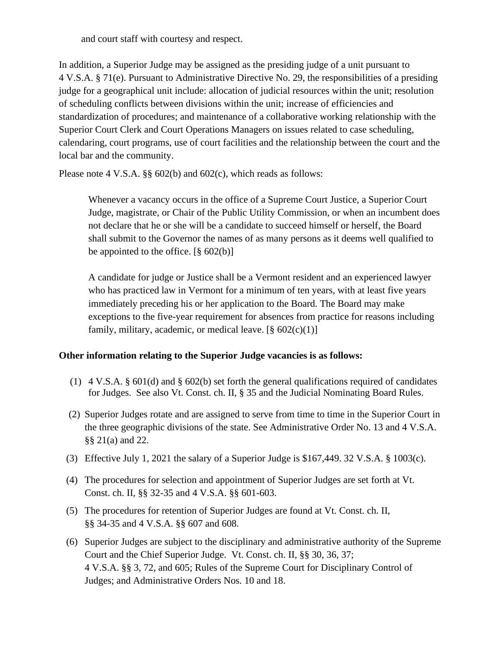and court staff with courtesy and respect.

In addition, a Superior Judge may be assigned as the presiding judge of a unit pursuant to 4 V.S.A. § 71(e). Pursuant to Administrative Directive No. 29, the responsibilities of a presiding judge for a geographical unit include: allocation of judicial resources within the unit; resolution of scheduling conflicts between divisions within the unit; increase of efficiencies and standardization of procedures; and maintenance of a collaborative working relationship with the Superior Court Clerk and Court Operations Managers on issues related to case scheduling, calendaring, court programs, use of court facilities and the relationship between the court and the local bar and the community.

Please note 4 V.S.A. §§ 602(b) and 602(c), which reads as follows:

Whenever a vacancy occurs in the office of a Supreme Court Justice, a Superior Court Judge, magistrate, or Chair of the Public Utility Commission, or when an incumbent does not declare that he or she will be a candidate to succeed himself or herself, the Board shall submit to the Governor the names of as many persons as it deems well qualified to be appointed to the office.  $[\S 602(b)]$ 

A candidate for judge or Justice shall be a Vermont resident and an experienced lawyer who has practiced law in Vermont for a minimum of ten years, with at least five years immediately preceding his or her application to the Board. The Board may make exceptions to the five-year requirement for absences from practice for reasons including family, military, academic, or medical leave.  $[\S 602(c)(1)]$ 

## **Other information relating to the Superior Judge vacancies is as follows:**

- (1)  $4 \text{ V.S.A. } § 601(d)$  and § 602(b) set forth the general qualifications required of candidates for Judges. See also Vt. Const. ch. II, § 35 and the Judicial Nominating Board Rules.
- (2) Superior Judges rotate and are assigned to serve from time to time in the Superior Court in the three geographic divisions of the state. See Administrative Order No. 13 and 4 V.S.A. §§ 21(a) and 22.
- (3) Effective July 1, 2021 the salary of a Superior Judge is \$167,449. 32 V.S.A. § 1003(c).
- (4) The procedures for selection and appointment of Superior Judges are set forth at Vt. Const. ch. II, §§ 32-35 and 4 V.S.A. §§ 601-603.
- (5) The procedures for retention of Superior Judges are found at Vt. Const. ch. II, §§ 34-35 and 4 V.S.A. §§ 607 and 608.
- (6) Superior Judges are subject to the disciplinary and administrative authority of the Supreme Court and the Chief Superior Judge. Vt. Const. ch. II, §§ 30, 36, 37; 4 V.S.A. §§ 3, 72, and 605; Rules of the Supreme Court for Disciplinary Control of Judges; and Administrative Orders Nos. 10 and 18.